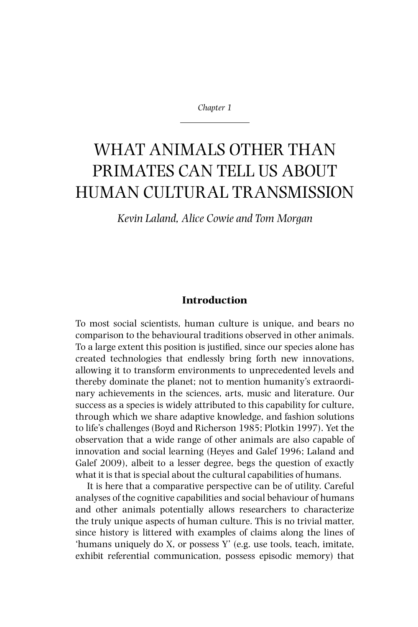*Chapter 1*

# WHAT ANIMALS OTHER THAN PRIMATES CAN TELL US ABOUT Human Cultural Transmission

*Kevin Laland, Alice Cowie and Tom Morgan*

# **Introduction**

To most social scientists, human culture is unique, and bears no comparison to the behavioural traditions observed in other animals. To a large extent this position is justified, since our species alone has created technologies that endlessly bring forth new innovations, allowing it to transform environments to unprecedented levels and thereby dominate the planet; not to mention humanity's extraordinary achievements in the sciences, arts, music and literature. Our success as a species is widely attributed to this capability for culture, through which we share adaptive knowledge, and fashion solutions to life's challenges (Boyd and Richerson 1985; Plotkin 1997). Yet the observation that a wide range of other animals are also capable of innovation and social learning (Heyes and Galef 1996; Laland and Galef 2009), albeit to a lesser degree, begs the question of exactly what it is that is special about the cultural capabilities of humans.

It is here that a comparative perspective can be of utility. Careful analyses of the cognitive capabilities and social behaviour of humans and other animals potentially allows researchers to characterize the truly unique aspects of human culture. This is no trivial matter, since history is littered with examples of claims along the lines of 'humans uniquely do X, or possess Y' (e.g. use tools, teach, imitate, exhibit referential communication, possess episodic memory) that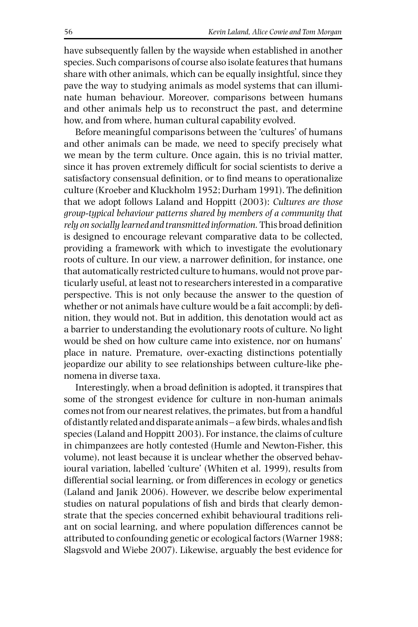have subsequently fallen by the wayside when established in another species. Such comparisons of course also isolate features that humans share with other animals, which can be equally insightful, since they pave the way to studying animals as model systems that can illuminate human behaviour. Moreover, comparisons between humans and other animals help us to reconstruct the past, and determine how, and from where, human cultural capability evolved.

Before meaningful comparisons between the 'cultures' of humans and other animals can be made, we need to specify precisely what we mean by the term culture. Once again, this is no trivial matter, since it has proven extremely difficult for social scientists to derive a satisfactory consensual definition, or to find means to operationalize culture (Kroeber and Kluckholm 1952; Durham 1991). The definition that we adopt follows Laland and Hoppitt (2003): *Cultures are those group-typical behaviour patterns shared by members of a community that rely on socially learned and transmitted information.* This broad definition is designed to encourage relevant comparative data to be collected, providing a framework with which to investigate the evolutionary roots of culture. In our view, a narrower definition, for instance, one that automatically restricted culture to humans, would not prove particularly useful, at least not to researchers interested in a comparative perspective. This is not only because the answer to the question of whether or not animals have culture would be a fait accompli; by definition, they would not. But in addition, this denotation would act as a barrier to understanding the evolutionary roots of culture. No light would be shed on how culture came into existence, nor on humans' place in nature. Premature, over-exacting distinctions potentially jeopardize our ability to see relationships between culture-like phenomena in diverse taxa.

Interestingly, when a broad definition is adopted, it transpires that some of the strongest evidence for culture in non-human animals comes not from our nearest relatives, the primates, but from a handful of distantly related and disparate animals – a few birds, whales and fish species (Laland and Hoppitt 2003). For instance, the claims of culture in chimpanzees are hotly contested (Humle and Newton-Fisher, this volume), not least because it is unclear whether the observed behavioural variation, labelled 'culture' (Whiten et al. 1999), results from differential social learning, or from differences in ecology or genetics (Laland and Janik 2006). However, we describe below experimental studies on natural populations of fish and birds that clearly demonstrate that the species concerned exhibit behavioural traditions reliant on social learning, and where population differences cannot be attributed to confounding genetic or ecological factors (Warner 1988; Slagsvold and Wiebe 2007). Likewise, arguably the best evidence for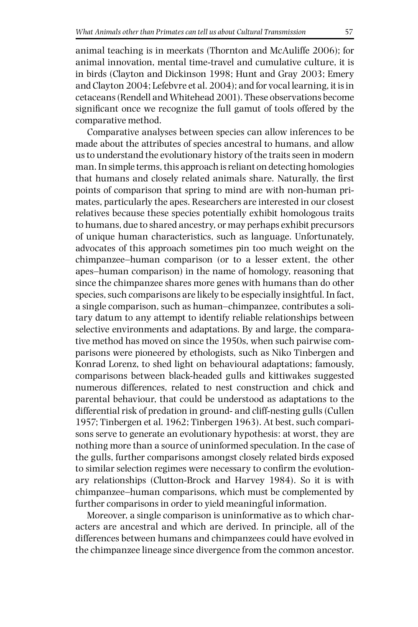animal teaching is in meerkats (Thornton and McAuliffe 2006); for animal innovation, mental time-travel and cumulative culture, it is in birds (Clayton and Dickinson 1998; Hunt and Gray 2003; Emery and Clayton 2004; Lefebvre et al. 2004); and for vocal learning, it is in cetaceans (Rendell and Whitehead 2001). These observations become significant once we recognize the full gamut of tools offered by the comparative method.

Comparative analyses between species can allow inferences to be made about the attributes of species ancestral to humans, and allow us to understand the evolutionary history of the traits seen in modern man. In simple terms, this approach is reliant on detecting homologies that humans and closely related animals share. Naturally, the first points of comparison that spring to mind are with non-human primates, particularly the apes. Researchers are interested in our closest relatives because these species potentially exhibit homologous traits to humans, due to shared ancestry, or may perhaps exhibit precursors of unique human characteristics, such as language. Unfortunately, advocates of this approach sometimes pin too much weight on the chimpanzee–human comparison (or to a lesser extent, the other apes–human comparison) in the name of homology, reasoning that since the chimpanzee shares more genes with humans than do other species, such comparisons are likely to be especially insightful. In fact, a single comparison, such as human–chimpanzee, contributes a solitary datum to any attempt to identify reliable relationships between selective environments and adaptations. By and large, the comparative method has moved on since the 1950s, when such pairwise comparisons were pioneered by ethologists, such as Niko Tinbergen and Konrad Lorenz, to shed light on behavioural adaptations; famously, comparisons between black-headed gulls and kittiwakes suggested numerous differences, related to nest construction and chick and parental behaviour, that could be understood as adaptations to the differential risk of predation in ground- and cliff-nesting gulls (Cullen 1957; Tinbergen et al. 1962; Tinbergen 1963). At best, such comparisons serve to generate an evolutionary hypothesis: at worst, they are nothing more than a source of uninformed speculation. In the case of the gulls, further comparisons amongst closely related birds exposed to similar selection regimes were necessary to confirm the evolutionary relationships (Clutton-Brock and Harvey 1984). So it is with chimpanzee–human comparisons, which must be complemented by further comparisons in order to yield meaningful information.

Moreover, a single comparison is uninformative as to which characters are ancestral and which are derived. In principle, all of the differences between humans and chimpanzees could have evolved in the chimpanzee lineage since divergence from the common ancestor.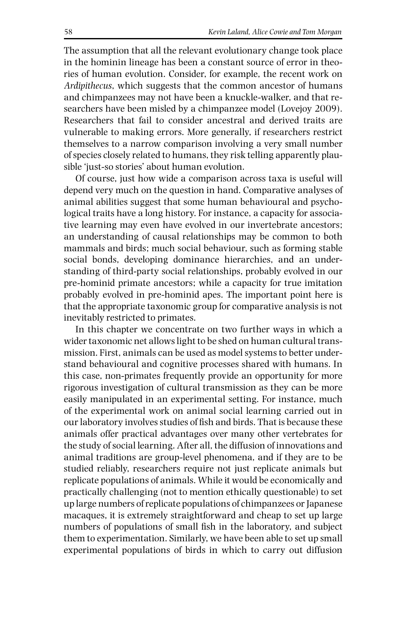The assumption that all the relevant evolutionary change took place in the hominin lineage has been a constant source of error in theories of human evolution. Consider, for example, the recent work on *Ardipithecus*, which suggests that the common ancestor of humans and chimpanzees may not have been a knuckle-walker, and that researchers have been misled by a chimpanzee model (Lovejoy 2009). Researchers that fail to consider ancestral and derived traits are vulnerable to making errors. More generally, if researchers restrict themselves to a narrow comparison involving a very small number of species closely related to humans, they risk telling apparently plausible 'just-so stories' about human evolution.

Of course, just how wide a comparison across taxa is useful will depend very much on the question in hand. Comparative analyses of animal abilities suggest that some human behavioural and psychological traits have a long history. For instance, a capacity for associative learning may even have evolved in our invertebrate ancestors; an understanding of causal relationships may be common to both mammals and birds; much social behaviour, such as forming stable social bonds, developing dominance hierarchies, and an understanding of third-party social relationships, probably evolved in our pre-hominid primate ancestors; while a capacity for true imitation probably evolved in pre-hominid apes. The important point here is that the appropriate taxonomic group for comparative analysis is not inevitably restricted to primates.

In this chapter we concentrate on two further ways in which a wider taxonomic net allows light to be shed on human cultural transmission. First, animals can be used as model systems to better understand behavioural and cognitive processes shared with humans. In this case, non-primates frequently provide an opportunity for more rigorous investigation of cultural transmission as they can be more easily manipulated in an experimental setting. For instance, much of the experimental work on animal social learning carried out in our laboratory involves studies of fish and birds. That is because these animals offer practical advantages over many other vertebrates for the study of social learning. After all, the diffusion of innovations and animal traditions are group-level phenomena, and if they are to be studied reliably, researchers require not just replicate animals but replicate populations of animals. While it would be economically and practically challenging (not to mention ethically questionable) to set up large numbers of replicate populations of chimpanzees or Japanese macaques, it is extremely straightforward and cheap to set up large numbers of populations of small fish in the laboratory, and subject them to experimentation. Similarly, we have been able to set up small experimental populations of birds in which to carry out diffusion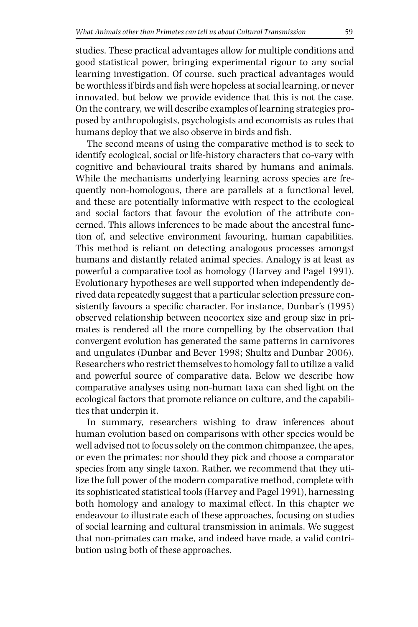studies. These practical advantages allow for multiple conditions and good statistical power, bringing experimental rigour to any social learning investigation. Of course, such practical advantages would be worthless if birds and fish were hopeless at social learning, or never innovated, but below we provide evidence that this is not the case. On the contrary, we will describe examples of learning strategies proposed by anthropologists, psychologists and economists as rules that humans deploy that we also observe in birds and fish.

The second means of using the comparative method is to seek to identify ecological, social or life-history characters that co-vary with cognitive and behavioural traits shared by humans and animals. While the mechanisms underlying learning across species are frequently non-homologous, there are parallels at a functional level, and these are potentially informative with respect to the ecological and social factors that favour the evolution of the attribute concerned. This allows inferences to be made about the ancestral function of, and selective environment favouring, human capabilities. This method is reliant on detecting analogous processes amongst humans and distantly related animal species. Analogy is at least as powerful a comparative tool as homology (Harvey and Pagel 1991). Evolutionary hypotheses are well supported when independently derived data repeatedly suggest that a particular selection pressure consistently favours a specific character. For instance, Dunbar's (1995) observed relationship between neocortex size and group size in primates is rendered all the more compelling by the observation that convergent evolution has generated the same patterns in carnivores and ungulates (Dunbar and Bever 1998; Shultz and Dunbar 2006). Researchers who restrict themselves to homology fail to utilize a valid and powerful source of comparative data. Below we describe how comparative analyses using non-human taxa can shed light on the ecological factors that promote reliance on culture, and the capabilities that underpin it.

In summary, researchers wishing to draw inferences about human evolution based on comparisons with other species would be well advised not to focus solely on the common chimpanzee, the apes, or even the primates; nor should they pick and choose a comparator species from any single taxon. Rather, we recommend that they utilize the full power of the modern comparative method, complete with its sophisticated statistical tools (Harvey and Pagel 1991), harnessing both homology and analogy to maximal effect. In this chapter we endeavour to illustrate each of these approaches, focusing on studies of social learning and cultural transmission in animals. We suggest that non-primates can make, and indeed have made, a valid contribution using both of these approaches.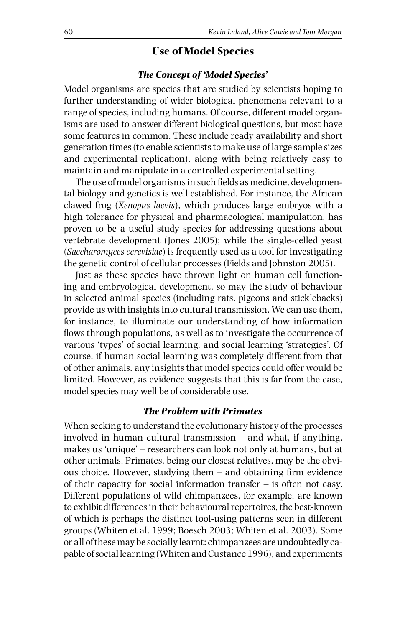## **Use of Model Species**

#### *The Concept of 'Model Species'*

Model organisms are species that are studied by scientists hoping to further understanding of wider biological phenomena relevant to a range of species, including humans. Of course, different model organisms are used to answer different biological questions, but most have some features in common. These include ready availability and short generation times (to enable scientists to make use of large sample sizes and experimental replication), along with being relatively easy to maintain and manipulate in a controlled experimental setting.

The use of model organisms in such fields as medicine, developmental biology and genetics is well established. For instance, the African clawed frog (*Xenopus laevis*), which produces large embryos with a high tolerance for physical and pharmacological manipulation, has proven to be a useful study species for addressing questions about vertebrate development (Jones 2005); while the single-celled yeast (*Saccharomyces cerevisiae*) is frequently used as a tool for investigating the genetic control of cellular processes (Fields and Johnston 2005).

Just as these species have thrown light on human cell functioning and embryological development, so may the study of behaviour in selected animal species (including rats, pigeons and sticklebacks) provide us with insights into cultural transmission. We can use them, for instance, to illuminate our understanding of how information flows through populations, as well as to investigate the occurrence of various 'types' of social learning, and social learning 'strategies'. Of course, if human social learning was completely different from that of other animals, any insights that model species could offer would be limited. However, as evidence suggests that this is far from the case, model species may well be of considerable use.

## *The Problem with Primates*

When seeking to understand the evolutionary history of the processes involved in human cultural transmission – and what, if anything, makes us 'unique' – researchers can look not only at humans, but at other animals. Primates, being our closest relatives, may be the obvious choice. However, studying them – and obtaining firm evidence of their capacity for social information transfer – is often not easy. Different populations of wild chimpanzees, for example, are known to exhibit differences in their behavioural repertoires, the best-known of which is perhaps the distinct tool-using patterns seen in different groups (Whiten et al. 1999; Boesch 2003; Whiten et al. 2003). Some or all of these may be socially learnt: chimpanzees are undoubtedly capable of social learning (Whiten and Custance 1996), and experiments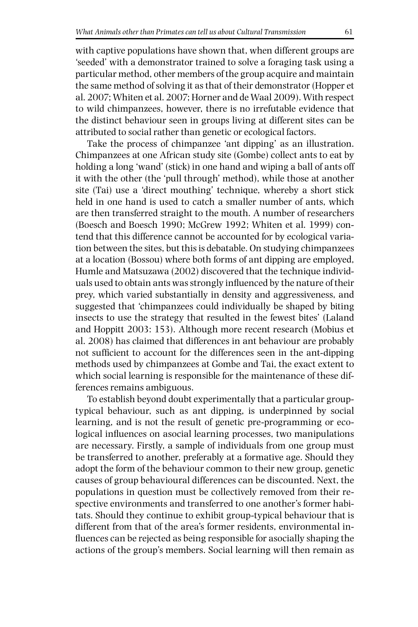with captive populations have shown that, when different groups are 'seeded' with a demonstrator trained to solve a foraging task using a particular method, other members of the group acquire and maintain the same method of solving it as that of their demonstrator (Hopper et al. 2007; Whiten et al. 2007; Horner and de Waal 2009). With respect to wild chimpanzees, however, there is no irrefutable evidence that the distinct behaviour seen in groups living at different sites can be attributed to social rather than genetic or ecological factors.

Take the process of chimpanzee 'ant dipping' as an illustration. Chimpanzees at one African study site (Gombe) collect ants to eat by holding a long 'wand' (stick) in one hand and wiping a ball of ants off it with the other (the 'pull through' method), while those at another site (Tai) use a 'direct mouthing' technique, whereby a short stick held in one hand is used to catch a smaller number of ants, which are then transferred straight to the mouth. A number of researchers (Boesch and Boesch 1990; McGrew 1992; Whiten et al. 1999) contend that this difference cannot be accounted for by ecological variation between the sites, but this is debatable. On studying chimpanzees at a location (Bossou) where both forms of ant dipping are employed, Humle and Matsuzawa (2002) discovered that the technique individuals used to obtain ants was strongly influenced by the nature of their prey, which varied substantially in density and aggressiveness, and suggested that 'chimpanzees could individually be shaped by biting insects to use the strategy that resulted in the fewest bites' (Laland and Hoppitt 2003: 153). Although more recent research (Mobius et al. 2008) has claimed that differences in ant behaviour are probably not sufficient to account for the differences seen in the ant-dipping methods used by chimpanzees at Gombe and Tai, the exact extent to which social learning is responsible for the maintenance of these differences remains ambiguous.

To establish beyond doubt experimentally that a particular grouptypical behaviour, such as ant dipping, is underpinned by social learning, and is not the result of genetic pre-programming or ecological influences on asocial learning processes, two manipulations are necessary. Firstly, a sample of individuals from one group must be transferred to another, preferably at a formative age. Should they adopt the form of the behaviour common to their new group, genetic causes of group behavioural differences can be discounted. Next, the populations in question must be collectively removed from their respective environments and transferred to one another's former habitats. Should they continue to exhibit group-typical behaviour that is different from that of the area's former residents, environmental influences can be rejected as being responsible for asocially shaping the actions of the group's members. Social learning will then remain as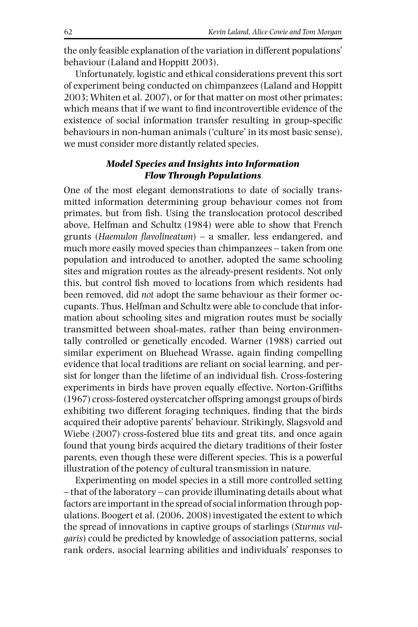the only feasible explanation of the variation in different populations' behaviour (Laland and Hoppitt 2003).

Unfortunately, logistic and ethical considerations prevent this sort of experiment being conducted on chimpanzees (Laland and Hoppitt 2003; Whiten et al. 2007), or for that matter on most other primates; which means that if we want to find incontrovertible evidence of the existence of social information transfer resulting in group-specific behaviours in non-human animals ('culture' in its most basic sense), we must consider more distantly related species.

# *Model Species and Insights into Information Flow Through Populations*

One of the most elegant demonstrations to date of socially transmitted information determining group behaviour comes not from primates, but from fish. Using the translocation protocol described above, Helfman and Schultz (1984) were able to show that French grunts (*Haemulon flavolineatum*) – a smaller, less endangered, and much more easily moved species than chimpanzees – taken from one population and introduced to another, adopted the same schooling sites and migration routes as the already-present residents. Not only this, but control fish moved to locations from which residents had been removed, did *not* adopt the same behaviour as their former occupants. Thus, Helfman and Schultz were able to conclude that information about schooling sites and migration routes must be socially transmitted between shoal-mates, rather than being environmentally controlled or genetically encoded. Warner (1988) carried out similar experiment on Bluehead Wrasse, again finding compelling evidence that local traditions are reliant on social learning, and persist for longer than the lifetime of an individual fish. Cross-fostering experiments in birds have proven equally effective. Norton-Griffiths (1967) cross-fostered oystercatcher offspring amongst groups of birds exhibiting two different foraging techniques, finding that the birds acquired their adoptive parents' behaviour. Strikingly, Slagsvold and Wiebe (2007) cross-fostered blue tits and great tits, and once again found that young birds acquired the dietary traditions of their foster parents, even though these were different species. This is a powerful illustration of the potency of cultural transmission in nature.

Experimenting on model species in a still more controlled setting – that of the laboratory – can provide illuminating details about what factors are important in the spread of social information through populations. Boogert et al. (2006, 2008) investigated the extent to which the spread of innovations in captive groups of starlings (*Sturnus vulgaris*) could be predicted by knowledge of association patterns, social rank orders, asocial learning abilities and individuals' responses to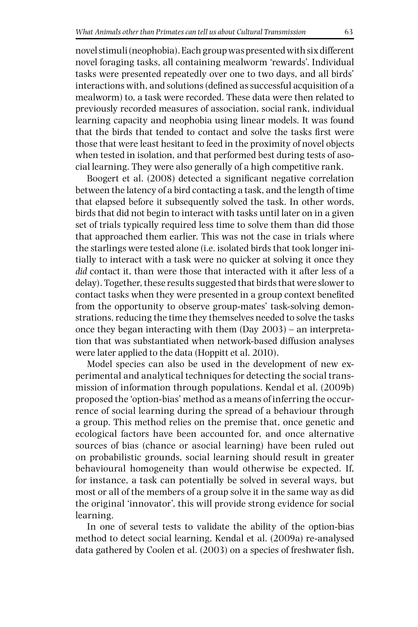novel stimuli (neophobia). Each group was presented with six different novel foraging tasks, all containing mealworm 'rewards'. Individual tasks were presented repeatedly over one to two days, and all birds' interactions with, and solutions (defined as successful acquisition of a mealworm) to, a task were recorded. These data were then related to previously recorded measures of association, social rank, individual learning capacity and neophobia using linear models. It was found that the birds that tended to contact and solve the tasks first were those that were least hesitant to feed in the proximity of novel objects when tested in isolation, and that performed best during tests of asocial learning. They were also generally of a high competitive rank.

Boogert et al. (2008) detected a significant negative correlation between the latency of a bird contacting a task, and the length of time that elapsed before it subsequently solved the task. In other words, birds that did not begin to interact with tasks until later on in a given set of trials typically required less time to solve them than did those that approached them earlier. This was not the case in trials where the starlings were tested alone (i.e. isolated birds that took longer initially to interact with a task were no quicker at solving it once they *did* contact it, than were those that interacted with it after less of a delay). Together, these results suggested that birds that were slower to contact tasks when they were presented in a group context benefited from the opportunity to observe group-mates' task-solving demonstrations, reducing the time they themselves needed to solve the tasks once they began interacting with them (Day 2003) – an interpretation that was substantiated when network-based diffusion analyses were later applied to the data (Hoppitt et al. 2010).

Model species can also be used in the development of new experimental and analytical techniques for detecting the social transmission of information through populations. Kendal et al. (2009b) proposed the 'option-bias' method as a means of inferring the occurrence of social learning during the spread of a behaviour through a group. This method relies on the premise that, once genetic and ecological factors have been accounted for, and once alternative sources of bias (chance or asocial learning) have been ruled out on probabilistic grounds, social learning should result in greater behavioural homogeneity than would otherwise be expected. If, for instance, a task can potentially be solved in several ways, but most or all of the members of a group solve it in the same way as did the original 'innovator', this will provide strong evidence for social learning.

In one of several tests to validate the ability of the option-bias method to detect social learning, Kendal et al. (2009a) re-analysed data gathered by Coolen et al. (2003) on a species of freshwater fish,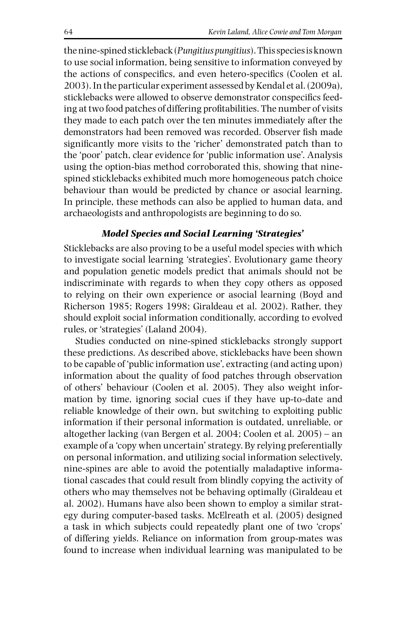the nine-spined stickleback (*Pungitius pungitius*). This species is known to use social information, being sensitive to information conveyed by the actions of conspecifics, and even hetero-specifics (Coolen et al. 2003). In the particular experiment assessed by Kendal et al. (2009a), sticklebacks were allowed to observe demonstrator conspecifics feeding at two food patches of differing profitabilities. The number of visits they made to each patch over the ten minutes immediately after the demonstrators had been removed was recorded. Observer fish made significantly more visits to the 'richer' demonstrated patch than to the 'poor' patch, clear evidence for 'public information use'. Analysis using the option-bias method corroborated this, showing that ninespined sticklebacks exhibited much more homogeneous patch choice behaviour than would be predicted by chance or asocial learning. In principle, these methods can also be applied to human data, and archaeologists and anthropologists are beginning to do so.

## *Model Species and Social Learning 'Strategies'*

Sticklebacks are also proving to be a useful model species with which to investigate social learning 'strategies'. Evolutionary game theory and population genetic models predict that animals should not be indiscriminate with regards to when they copy others as opposed to relying on their own experience or asocial learning (Boyd and Richerson 1985; Rogers 1998; Giraldeau et al. 2002). Rather, they should exploit social information conditionally, according to evolved rules, or 'strategies' (Laland 2004).

Studies conducted on nine-spined sticklebacks strongly support these predictions. As described above, sticklebacks have been shown to be capable of 'public information use', extracting (and acting upon) information about the quality of food patches through observation of others' behaviour (Coolen et al. 2005). They also weight information by time, ignoring social cues if they have up-to-date and reliable knowledge of their own, but switching to exploiting public information if their personal information is outdated, unreliable, or altogether lacking (van Bergen et al. 2004; Coolen et al. 2005) – an example of a 'copy when uncertain' strategy. By relying preferentially on personal information, and utilizing social information selectively, nine-spines are able to avoid the potentially maladaptive informational cascades that could result from blindly copying the activity of others who may themselves not be behaving optimally (Giraldeau et al. 2002). Humans have also been shown to employ a similar strategy during computer-based tasks. McElreath et al. (2005) designed a task in which subjects could repeatedly plant one of two 'crops' of differing yields. Reliance on information from group-mates was found to increase when individual learning was manipulated to be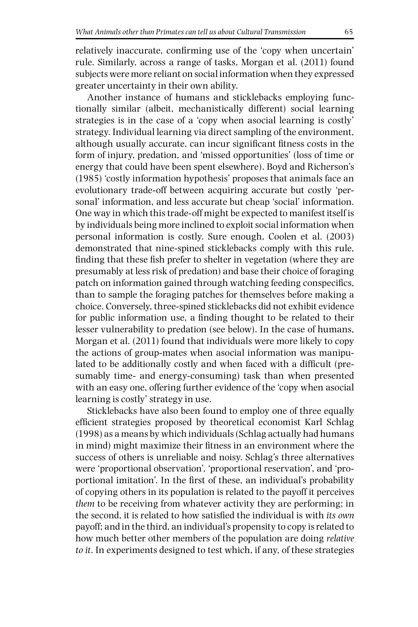relatively inaccurate, confirming use of the 'copy when uncertain' rule. Similarly, across a range of tasks, Morgan et al. (2011) found subjects were more reliant on social information when they expressed greater uncertainty in their own ability.

Another instance of humans and sticklebacks employing functionally similar (albeit, mechanistically different) social learning strategies is in the case of a 'copy when asocial learning is costly' strategy. Individual learning via direct sampling of the environment, although usually accurate, can incur significant fitness costs in the form of injury, predation, and 'missed opportunities' (loss of time or energy that could have been spent elsewhere). Boyd and Richerson's (1985) 'costly information hypothesis' proposes that animals face an evolutionary trade-off between acquiring accurate but costly 'personal' information, and less accurate but cheap 'social' information. One way in which this trade-off might be expected to manifest itself is by individuals being more inclined to exploit social information when personal information is costly. Sure enough, Coolen et al. (2003) demonstrated that nine-spined sticklebacks comply with this rule, finding that these fish prefer to shelter in vegetation (where they are presumably at less risk of predation) and base their choice of foraging patch on information gained through watching feeding conspecifics, than to sample the foraging patches for themselves before making a choice. Conversely, three-spined sticklebacks did not exhibit evidence for public information use, a finding thought to be related to their lesser vulnerability to predation (see below). In the case of humans, Morgan et al. (2011) found that individuals were more likely to copy the actions of group-mates when asocial information was manipulated to be additionally costly and when faced with a difficult (presumably time- and energy-consuming) task than when presented with an easy one, offering further evidence of the 'copy when asocial learning is costly' strategy in use.

Sticklebacks have also been found to employ one of three equally efficient strategies proposed by theoretical economist Karl Schlag (1998) as a means by which individuals (Schlag actually had humans in mind) might maximize their fitness in an environment where the success of others is unreliable and noisy. Schlag's three alternatives were 'proportional observation', 'proportional reservation', and 'proportional imitation'. In the first of these, an individual's probability of copying others in its population is related to the payoff it perceives *them* to be receiving from whatever activity they are performing; in the second, it is related to how satisfied the individual is with *its own* payoff; and in the third, an individual's propensity to copy is related to how much better other members of the population are doing *relative to it*. In experiments designed to test which, if any, of these strategies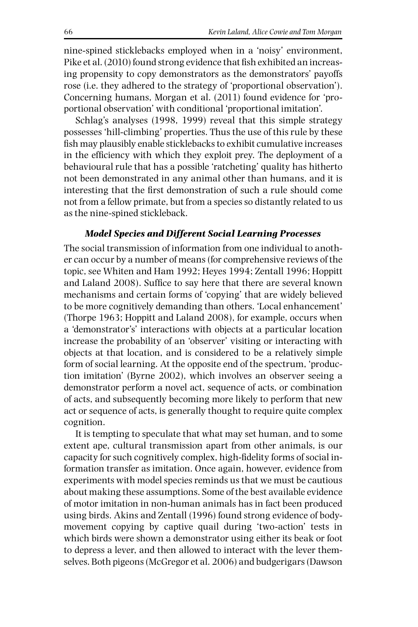nine-spined sticklebacks employed when in a 'noisy' environment, Pike et al. (2010) found strong evidence that fish exhibited an increasing propensity to copy demonstrators as the demonstrators' payoffs rose (i.e. they adhered to the strategy of 'proportional observation'). Concerning humans, Morgan et al. (2011) found evidence for 'proportional observation' with conditional 'proportional imitation'.

Schlag's analyses (1998, 1999) reveal that this simple strategy possesses 'hill-climbing' properties. Thus the use of this rule by these fish may plausibly enable sticklebacks to exhibit cumulative increases in the efficiency with which they exploit prey. The deployment of a behavioural rule that has a possible 'ratcheting' quality has hitherto not been demonstrated in any animal other than humans, and it is interesting that the first demonstration of such a rule should come not from a fellow primate, but from a species so distantly related to us as the nine-spined stickleback.

## *Model Species and Different Social Learning Processes*

The social transmission of information from one individual to another can occur by a number of means (for comprehensive reviews of the topic, see Whiten and Ham 1992; Heyes 1994; Zentall 1996; Hoppitt and Laland 2008). Suffice to say here that there are several known mechanisms and certain forms of 'copying' that are widely believed to be more cognitively demanding than others. 'Local enhancement' (Thorpe 1963; Hoppitt and Laland 2008), for example, occurs when a 'demonstrator's' interactions with objects at a particular location increase the probability of an 'observer' visiting or interacting with objects at that location, and is considered to be a relatively simple form of social learning. At the opposite end of the spectrum, 'production imitation' (Byrne 2002), which involves an observer seeing a demonstrator perform a novel act, sequence of acts, or combination of acts, and subsequently becoming more likely to perform that new act or sequence of acts, is generally thought to require quite complex cognition.

It is tempting to speculate that what may set human, and to some extent ape, cultural transmission apart from other animals, is our capacity for such cognitively complex, high-fidelity forms of social information transfer as imitation. Once again, however, evidence from experiments with model species reminds us that we must be cautious about making these assumptions. Some of the best available evidence of motor imitation in non-human animals has in fact been produced using birds. Akins and Zentall (1996) found strong evidence of bodymovement copying by captive quail during 'two-action' tests in which birds were shown a demonstrator using either its beak or foot to depress a lever, and then allowed to interact with the lever themselves. Both pigeons (McGregor et al. 2006) and budgerigars (Dawson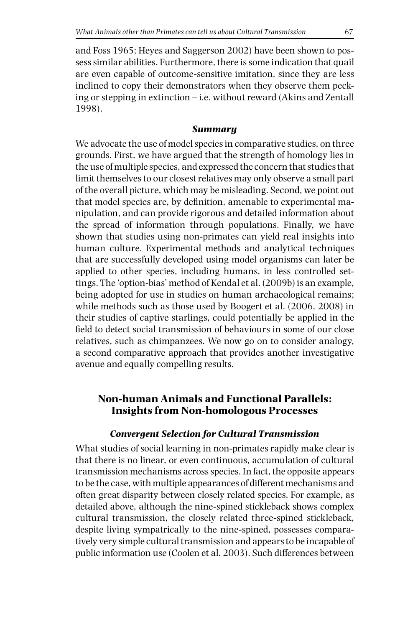and Foss 1965; Heyes and Saggerson 2002) have been shown to possess similar abilities. Furthermore, there is some indication that quail are even capable of outcome-sensitive imitation, since they are less inclined to copy their demonstrators when they observe them pecking or stepping in extinction – i.e. without reward (Akins and Zentall 1998).

#### *Summary*

We advocate the use of model species in comparative studies, on three grounds. First, we have argued that the strength of homology lies in the use of multiple species, and expressed the concern that studies that limit themselves to our closest relatives may only observe a small part of the overall picture, which may be misleading. Second, we point out that model species are, by definition, amenable to experimental manipulation, and can provide rigorous and detailed information about the spread of information through populations. Finally, we have shown that studies using non-primates can yield real insights into human culture. Experimental methods and analytical techniques that are successfully developed using model organisms can later be applied to other species, including humans, in less controlled settings. The 'option-bias' method of Kendal et al. (2009b) is an example, being adopted for use in studies on human archaeological remains; while methods such as those used by Boogert et al. (2006, 2008) in their studies of captive starlings, could potentially be applied in the field to detect social transmission of behaviours in some of our close relatives, such as chimpanzees. We now go on to consider analogy, a second comparative approach that provides another investigative avenue and equally compelling results.

# **Non-human Animals and Functional Parallels: Insights from Non-homologous Processes**

## *Convergent Selection for Cultural Transmission*

What studies of social learning in non-primates rapidly make clear is that there is no linear, or even continuous, accumulation of cultural transmission mechanisms across species. In fact, the opposite appears to be the case, with multiple appearances of different mechanisms and often great disparity between closely related species. For example, as detailed above, although the nine-spined stickleback shows complex cultural transmission, the closely related three-spined stickleback, despite living sympatrically to the nine-spined, possesses comparatively very simple cultural transmission and appears to be incapable of public information use (Coolen et al. 2003). Such differences between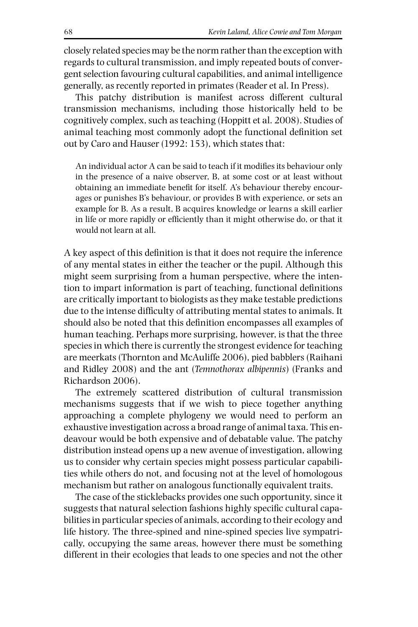closely related species may be the norm rather than the exception with regards to cultural transmission, and imply repeated bouts of convergent selection favouring cultural capabilities, and animal intelligence generally, as recently reported in primates (Reader et al. In Press).

This patchy distribution is manifest across different cultural transmission mechanisms, including those historically held to be cognitively complex, such as teaching (Hoppitt et al. 2008). Studies of animal teaching most commonly adopt the functional definition set out by Caro and Hauser (1992: 153), which states that:

An individual actor A can be said to teach if it modifies its behaviour only in the presence of a naive observer, B, at some cost or at least without obtaining an immediate benefit for itself. A's behaviour thereby encourages or punishes B's behaviour, or provides B with experience, or sets an example for B. As a result, B acquires knowledge or learns a skill earlier in life or more rapidly or efficiently than it might otherwise do, or that it would not learn at all.

A key aspect of this definition is that it does not require the inference of any mental states in either the teacher or the pupil. Although this might seem surprising from a human perspective, where the intention to impart information is part of teaching, functional definitions are critically important to biologists as they make testable predictions due to the intense difficulty of attributing mental states to animals. It should also be noted that this definition encompasses all examples of human teaching. Perhaps more surprising, however, is that the three species in which there is currently the strongest evidence for teaching are meerkats (Thornton and McAuliffe 2006), pied babblers (Raihani and Ridley 2008) and the ant (*Temnothorax albipennis*) (Franks and Richardson 2006).

The extremely scattered distribution of cultural transmission mechanisms suggests that if we wish to piece together anything approaching a complete phylogeny we would need to perform an exhaustive investigation across a broad range of animal taxa. This endeavour would be both expensive and of debatable value. The patchy distribution instead opens up a new avenue of investigation, allowing us to consider why certain species might possess particular capabilities while others do not, and focusing not at the level of homologous mechanism but rather on analogous functionally equivalent traits.

The case of the sticklebacks provides one such opportunity, since it suggests that natural selection fashions highly specific cultural capabilities in particular species of animals, according to their ecology and life history. The three-spined and nine-spined species live sympatrically, occupying the same areas, however there must be something different in their ecologies that leads to one species and not the other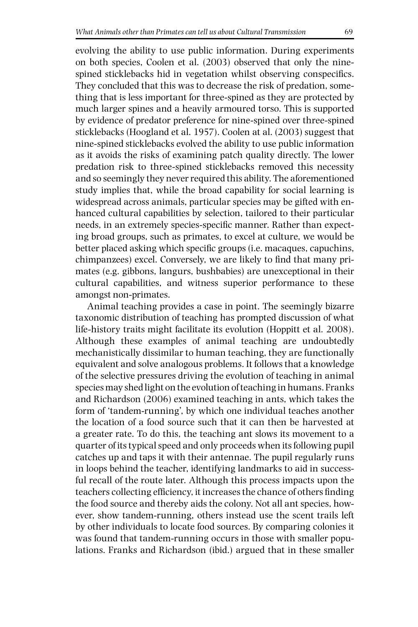evolving the ability to use public information. During experiments on both species, Coolen et al. (2003) observed that only the ninespined sticklebacks hid in vegetation whilst observing conspecifics. They concluded that this was to decrease the risk of predation, something that is less important for three-spined as they are protected by much larger spines and a heavily armoured torso. This is supported by evidence of predator preference for nine-spined over three-spined sticklebacks (Hoogland et al. 1957). Coolen at al. (2003) suggest that nine-spined sticklebacks evolved the ability to use public information as it avoids the risks of examining patch quality directly. The lower predation risk to three-spined sticklebacks removed this necessity and so seemingly they never required this ability. The aforementioned study implies that, while the broad capability for social learning is widespread across animals, particular species may be gifted with enhanced cultural capabilities by selection, tailored to their particular needs, in an extremely species-specific manner. Rather than expecting broad groups, such as primates, to excel at culture, we would be better placed asking which specific groups (i.e. macaques, capuchins, chimpanzees) excel. Conversely, we are likely to find that many primates (e.g. gibbons, langurs, bushbabies) are unexceptional in their cultural capabilities, and witness superior performance to these amongst non-primates.

Animal teaching provides a case in point. The seemingly bizarre taxonomic distribution of teaching has prompted discussion of what life-history traits might facilitate its evolution (Hoppitt et al. 2008). Although these examples of animal teaching are undoubtedly mechanistically dissimilar to human teaching, they are functionally equivalent and solve analogous problems. It follows that a knowledge of the selective pressures driving the evolution of teaching in animal species may shed light on the evolution of teaching in humans. Franks and Richardson (2006) examined teaching in ants, which takes the form of 'tandem-running', by which one individual teaches another the location of a food source such that it can then be harvested at a greater rate. To do this, the teaching ant slows its movement to a quarter of its typical speed and only proceeds when its following pupil catches up and taps it with their antennae. The pupil regularly runs in loops behind the teacher, identifying landmarks to aid in successful recall of the route later. Although this process impacts upon the teachers collecting efficiency, it increases the chance of others finding the food source and thereby aids the colony. Not all ant species, however, show tandem-running, others instead use the scent trails left by other individuals to locate food sources. By comparing colonies it was found that tandem-running occurs in those with smaller populations. Franks and Richardson (ibid.) argued that in these smaller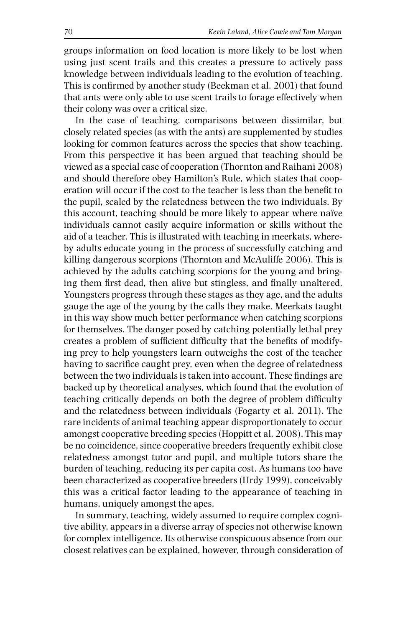groups information on food location is more likely to be lost when using just scent trails and this creates a pressure to actively pass knowledge between individuals leading to the evolution of teaching. This is confirmed by another study (Beekman et al. 2001) that found that ants were only able to use scent trails to forage effectively when their colony was over a critical size.

In the case of teaching, comparisons between dissimilar, but closely related species (as with the ants) are supplemented by studies looking for common features across the species that show teaching. From this perspective it has been argued that teaching should be viewed as a special case of cooperation (Thornton and Raihani 2008) and should therefore obey Hamilton's Rule, which states that cooperation will occur if the cost to the teacher is less than the benefit to the pupil, scaled by the relatedness between the two individuals. By this account, teaching should be more likely to appear where naïve individuals cannot easily acquire information or skills without the aid of a teacher. This is illustrated with teaching in meerkats, whereby adults educate young in the process of successfully catching and killing dangerous scorpions (Thornton and McAuliffe 2006). This is achieved by the adults catching scorpions for the young and bringing them first dead, then alive but stingless, and finally unaltered. Youngsters progress through these stages as they age, and the adults gauge the age of the young by the calls they make. Meerkats taught in this way show much better performance when catching scorpions for themselves. The danger posed by catching potentially lethal prey creates a problem of sufficient difficulty that the benefits of modifying prey to help youngsters learn outweighs the cost of the teacher having to sacrifice caught prey, even when the degree of relatedness between the two individuals is taken into account. These findings are backed up by theoretical analyses, which found that the evolution of teaching critically depends on both the degree of problem difficulty and the relatedness between individuals (Fogarty et al. 2011). The rare incidents of animal teaching appear disproportionately to occur amongst cooperative breeding species (Hoppitt et al. 2008). This may be no coincidence, since cooperative breeders frequently exhibit close relatedness amongst tutor and pupil, and multiple tutors share the burden of teaching, reducing its per capita cost. As humans too have been characterized as cooperative breeders (Hrdy 1999), conceivably this was a critical factor leading to the appearance of teaching in humans, uniquely amongst the apes.

In summary, teaching, widely assumed to require complex cognitive ability, appears in a diverse array of species not otherwise known for complex intelligence. Its otherwise conspicuous absence from our closest relatives can be explained, however, through consideration of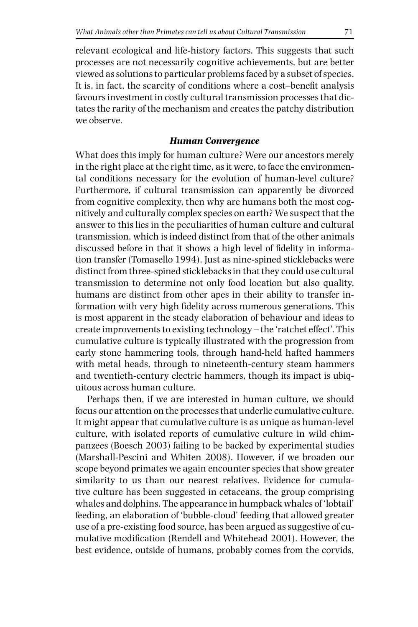relevant ecological and life-history factors. This suggests that such processes are not necessarily cognitive achievements, but are better viewed as solutions to particular problems faced by a subset of species. It is, in fact, the scarcity of conditions where a cost–benefit analysis favours investment in costly cultural transmission processes that dictates the rarity of the mechanism and creates the patchy distribution we observe.

#### *Human Convergence*

What does this imply for human culture? Were our ancestors merely in the right place at the right time, as it were, to face the environmental conditions necessary for the evolution of human-level culture? Furthermore, if cultural transmission can apparently be divorced from cognitive complexity, then why are humans both the most cognitively and culturally complex species on earth? We suspect that the answer to this lies in the peculiarities of human culture and cultural transmission, which is indeed distinct from that of the other animals discussed before in that it shows a high level of fidelity in information transfer (Tomasello 1994). Just as nine-spined sticklebacks were distinct from three-spined sticklebacks in that they could use cultural transmission to determine not only food location but also quality, humans are distinct from other apes in their ability to transfer information with very high fidelity across numerous generations. This is most apparent in the steady elaboration of behaviour and ideas to create improvements to existing technology – the 'ratchet effect'. This cumulative culture is typically illustrated with the progression from early stone hammering tools, through hand-held hafted hammers with metal heads, through to nineteenth-century steam hammers and twentieth-century electric hammers, though its impact is ubiquitous across human culture.

Perhaps then, if we are interested in human culture, we should focus our attention on the processes that underlie cumulative culture. It might appear that cumulative culture is as unique as human-level culture, with isolated reports of cumulative culture in wild chimpanzees (Boesch 2003) failing to be backed by experimental studies (Marshall-Pescini and Whiten 2008). However, if we broaden our scope beyond primates we again encounter species that show greater similarity to us than our nearest relatives. Evidence for cumulative culture has been suggested in cetaceans, the group comprising whales and dolphins. The appearance in humpback whales of 'lobtail' feeding, an elaboration of 'bubble-cloud' feeding that allowed greater use of a pre-existing food source, has been argued as suggestive of cumulative modification (Rendell and Whitehead 2001). However, the best evidence, outside of humans, probably comes from the corvids,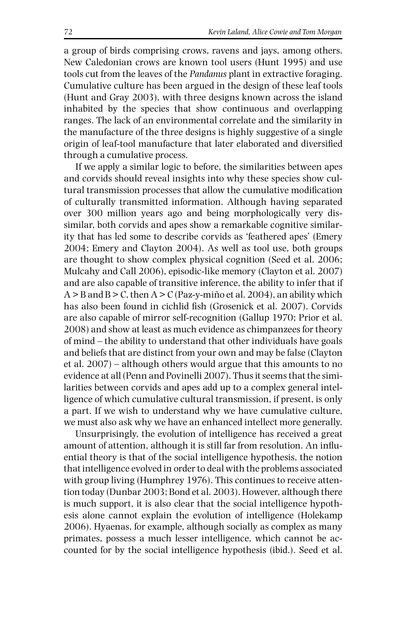a group of birds comprising crows, ravens and jays, among others. New Caledonian crows are known tool users (Hunt 1995) and use tools cut from the leaves of the *Pandanus* plant in extractive foraging. Cumulative culture has been argued in the design of these leaf tools (Hunt and Gray 2003), with three designs known across the island inhabited by the species that show continuous and overlapping ranges. The lack of an environmental correlate and the similarity in the manufacture of the three designs is highly suggestive of a single origin of leaf-tool manufacture that later elaborated and diversified through a cumulative process.

If we apply a similar logic to before, the similarities between apes and corvids should reveal insights into why these species show cultural transmission processes that allow the cumulative modification of culturally transmitted information. Although having separated over 300 million years ago and being morphologically very dissimilar, both corvids and apes show a remarkable cognitive similarity that has led some to describe corvids as 'feathered apes' (Emery 2004; Emery and Clayton 2004). As well as tool use, both groups are thought to show complex physical cognition (Seed et al. 2006; Mulcahy and Call 2006), episodic-like memory (Clayton et al. 2007) and are also capable of transitive inference, the ability to infer that if  $A > B$  and  $B > C$ , then  $A > C$  (Paz-y-miño et al. 2004), an ability which has also been found in cichlid fish (Grosenick et al. 2007). Corvids are also capable of mirror self-recognition (Gallup 1970; Prior et al. 2008) and show at least as much evidence as chimpanzees for theory of mind – the ability to understand that other individuals have goals and beliefs that are distinct from your own and may be false (Clayton et al. 2007) – although others would argue that this amounts to no evidence at all (Penn and Povinelli 2007). Thus it seems that the similarities between corvids and apes add up to a complex general intelligence of which cumulative cultural transmission, if present, is only a part. If we wish to understand why we have cumulative culture, we must also ask why we have an enhanced intellect more generally.

Unsurprisingly, the evolution of intelligence has received a great amount of attention, although it is still far from resolution. An influential theory is that of the social intelligence hypothesis, the notion that intelligence evolved in order to deal with the problems associated with group living (Humphrey 1976). This continues to receive attention today (Dunbar 2003; Bond et al. 2003). However, although there is much support, it is also clear that the social intelligence hypothesis alone cannot explain the evolution of intelligence (Holekamp 2006). Hyaenas, for example, although socially as complex as many primates, possess a much lesser intelligence, which cannot be accounted for by the social intelligence hypothesis (ibid.). Seed et al.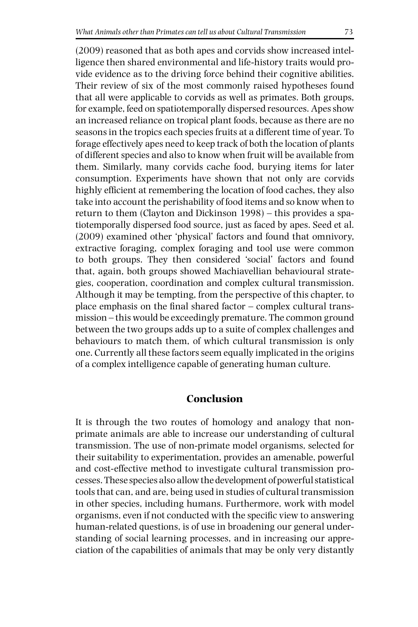(2009) reasoned that as both apes and corvids show increased intelligence then shared environmental and life-history traits would provide evidence as to the driving force behind their cognitive abilities. Their review of six of the most commonly raised hypotheses found that all were applicable to corvids as well as primates. Both groups, for example, feed on spatiotemporally dispersed resources. Apes show an increased reliance on tropical plant foods, because as there are no seasons in the tropics each species fruits at a different time of year. To forage effectively apes need to keep track of both the location of plants of different species and also to know when fruit will be available from them. Similarly, many corvids cache food, burying items for later consumption. Experiments have shown that not only are corvids highly efficient at remembering the location of food caches, they also take into account the perishability of food items and so know when to return to them (Clayton and Dickinson 1998) – this provides a spatiotemporally dispersed food source, just as faced by apes. Seed et al. (2009) examined other 'physical' factors and found that omnivory, extractive foraging, complex foraging and tool use were common to both groups. They then considered 'social' factors and found that, again, both groups showed Machiavellian behavioural strategies, cooperation, coordination and complex cultural transmission. Although it may be tempting, from the perspective of this chapter, to place emphasis on the final shared factor – complex cultural transmission – this would be exceedingly premature. The common ground between the two groups adds up to a suite of complex challenges and behaviours to match them, of which cultural transmission is only one. Currently all these factors seem equally implicated in the origins of a complex intelligence capable of generating human culture.

# **Conclusion**

It is through the two routes of homology and analogy that nonprimate animals are able to increase our understanding of cultural transmission. The use of non-primate model organisms, selected for their suitability to experimentation, provides an amenable, powerful and cost-effective method to investigate cultural transmission processes. These species also allow the development of powerful statistical tools that can, and are, being used in studies of cultural transmission in other species, including humans. Furthermore, work with model organisms, even if not conducted with the specific view to answering human-related questions, is of use in broadening our general understanding of social learning processes, and in increasing our appreciation of the capabilities of animals that may be only very distantly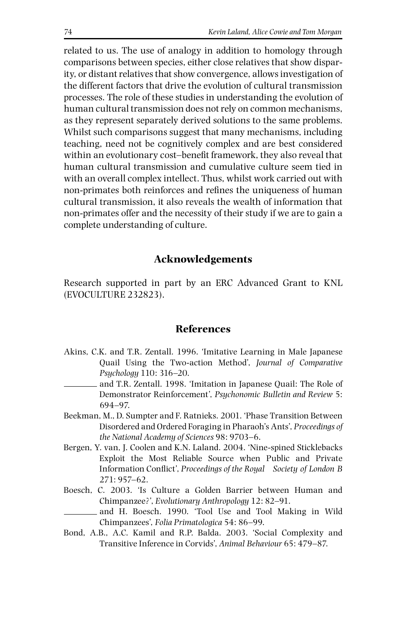related to us. The use of analogy in addition to homology through comparisons between species, either close relatives that show disparity, or distant relatives that show convergence, allows investigation of the different factors that drive the evolution of cultural transmission processes. The role of these studies in understanding the evolution of human cultural transmission does not rely on common mechanisms, as they represent separately derived solutions to the same problems. Whilst such comparisons suggest that many mechanisms, including teaching, need not be cognitively complex and are best considered within an evolutionary cost–benefit framework, they also reveal that human cultural transmission and cumulative culture seem tied in with an overall complex intellect. Thus, whilst work carried out with non-primates both reinforces and refines the uniqueness of human cultural transmission, it also reveals the wealth of information that non-primates offer and the necessity of their study if we are to gain a complete understanding of culture.

# **Acknowledgements**

Research supported in part by an ERC Advanced Grant to KNL (EVOCULTURE 232823).

## **References**

- Akins, C.K. and T.R. Zentall. 1996. 'Imitative Learning in Male Japanese Quail Using the Two-action Method', *Journal of Comparative Psychology* 110: 316–20.
	- and T.R. Zentall. 1998. 'Imitation in Japanese Quail: The Role of Demonstrator Reinforcement', *Psychonomic Bulletin and Review* 5: 694–97.
- Beekman, M., D. Sumpter and F. Ratnieks. 2001. 'Phase Transition Between Disordered and Ordered Foraging in Pharaoh's Ants', *Proceedings of the National Academy of Sciences* 98: 9703–6.
- Bergen, Y. van, J. Coolen and K.N. Laland. 2004. 'Nine-spined Sticklebacks Exploit the Most Reliable Source when Public and Private Information Conflict', *Proceedings of the Royal Society of London B* 271: 957–62.
- Boesch, C. 2003. 'Is Culture a Golden Barrier between Human and Chimpanzee?', *Evolutionary Anthropology* 12: 82–91.
- and H. Boesch. 1990. 'Tool Use and Tool Making in Wild Chimpanzees', *Folia Primatologica* 54: 86–99.
- Bond, A.B., A.C. Kamil and R.P. Balda. 2003. 'Social Complexity and Transitive Inference in Corvids', *Animal Behaviour* 65: 479–87.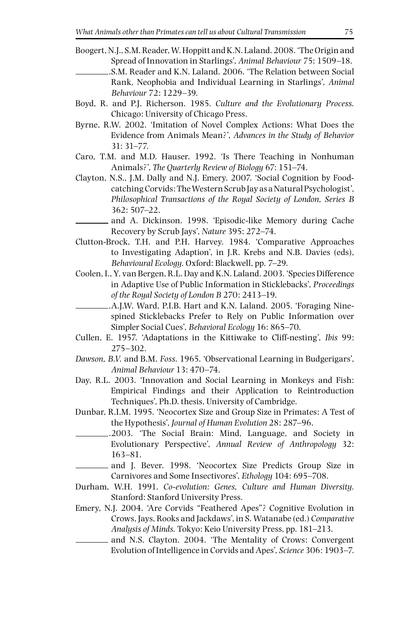- Boogert, N.J., S.M. Reader, W. Hoppitt and K.N. Laland. 2008. 'The Origin and Spread of Innovation in Starlings', *Animal Behaviour* 75: 1509–18.
	- . S.M. Reader and K.N. Laland. 2006. 'The Relation between Social Rank, Neophobia and Individual Learning in Starlings', *Animal Behaviour* 72: 1229–39.
- Boyd, R. and P.J. Richerson. 1985. *Culture and the Evolutionary Process.* Chicago: University of Chicago Press.
- Byrne, R.W. 2002. 'Imitation of Novel Complex Actions: What Does the Evidence from Animals Mean?', *Advances in the Study of Behavior* 31: 31–77.
- Caro, T.M. and M.D. Hauser. 1992. 'Is There Teaching in Nonhuman Animals?', *The Quarterly Review of Biology* 67: 151–74.
- Clayton, N.S., J.M. Dally and N.J. Emery. 2007. 'Social Cognition by Foodcatching Corvids: The Western Scrub Jay as a Natural Psychologist', *Philosophical Transactions of the Royal Society of London, Series B* 362: 507–22.
- and A. Dickinson. 1998. 'Episodic-like Memory during Cache Recovery by Scrub Jays', *Nature* 395: 272–74.
- Clutton-Brock, T.H. and P.H. Harvey. 1984. 'Comparative Approaches to Investigating Adaption', in J.R. Krebs and N.B. Davies (eds), *Behavioural Ecology*. Oxford: Blackwell, pp. 7–29.
- Coolen, I., Y. van Bergen, R.L. Day and K.N. Laland. 2003. 'Species Difference in Adaptive Use of Public Information in Sticklebacks', *Proceedings of the Royal Society of London B* 270: 2413–19.
	- . A.J.W. Ward, P.I.B. Hart and K.N. Laland. 2005. 'Foraging Ninespined Sticklebacks Prefer to Rely on Public Information over Simpler Social Cues', *Behavioral Ecology* 16: 865–70.
- Cullen, E. 1957. 'Adaptations in the Kittiwake to Cliff-nesting', *Ibis* 99: 275–302.
- *Dawson, B.V.* and B.M. *Foss*. 1965. 'Observational Learning in Budgerigars', *Animal Behaviour* 13: 470–74.
- Day, R.L. 2003. 'Innovation and Social Learning in Monkeys and Fish: Empirical Findings and their Application to Reintroduction Techniques', Ph.D. thesis, University of Cambridge.
- Dunbar, R.I.M. 1995. 'Neocortex Size and Group Size in Primates: A Test of the Hypothesis', *Journal of Human Evolution* 28: 287–96.
- .2003. 'The Social Brain: Mind, Language, and Society in Evolutionary Perspective', *Annual Review of Anthropology* 32: 163–81.
- and J. Bever. 1998. 'Neocortex Size Predicts Group Size in Carnivores and Some Insectivores', *Ethology* 104: 695–708.
- Durham, W.H. 1991. *Co-evolution: Genes, Culture and Human Diversity.* Stanford: Stanford University Press.
- Emery, N.J. 2004. 'Are Corvids "Feathered Apes"? Cognitive Evolution in Crows, Jays, Rooks and Jackdaws', in S. Watanabe (ed.) *Comparative Analysis of Minds.* Tokyo: Keio University Press, pp. 181–213.
- and N.S. Clayton. 2004. 'The Mentality of Crows: Convergent Evolution of Intelligence in Corvids and Apes', *Science* 306: 1903–7.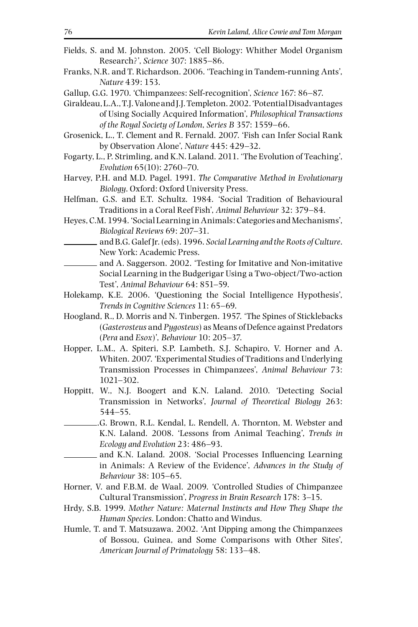- Fields, S. and M. Johnston. 2005. 'Cell Biology: Whither Model Organism Research?', *Science* 307: 1885–86.
- Franks, N.R. and T. Richardson. 2006. 'Teaching in Tandem-running Ants', *Nature* 439: 153.
- Gallup, G.G. 1970. 'Chimpanzees: Self-recognition', *Science* 167: 86–87.
- Giraldeau, L.A., T.J. Valone and J.J. Templeton. 2002. 'Potential Disadvantages of Using Socially Acquired Information', *Philosophical Transactions of the Royal Society of London*, *Series B* 357: 1559–66.
- Grosenick, L., T. Clement and R. Fernald. 2007. 'Fish can Infer Social Rank by Observation Alone', *Nature* 445: 429–32.
- Fogarty, L., P. Strimling, and K.N. Laland. 2011. 'The Evolution of Teaching', *Evolution* 65(10): 2760–70.
- Harvey, P.H. and M.D. Pagel. 1991. *The Comparative Method in Evolutionary Biology*. Oxford: Oxford University Press.
- Helfman, G.S. and E.T. Schultz. 1984. 'Social Tradition of Behavioural Traditions in a Coral Reef Fish', *Animal Behaviour* 32: 379–84.
- Heyes, C.M. 1994. 'Social Learning in Animals: Categories and Mechanisms', *Biological Reviews* 69: 207–31.
	- and B.G. Galef Jr. (eds). 1996. *Social Learning and the Roots of Culture*. New York: Academic Press.
- and A. Saggerson. 2002. 'Testing for Imitative and Non-imitative Social Learning in the Budgerigar Using a Two-object/Two-action Test', *Animal Behaviour* 64: 851–59.
- Holekamp, K.E. 2006. 'Questioning the Social Intelligence Hypothesis', *Trends in Cognitive Sciences* 11: 65–69.
- Hoogland, R., D. Morris and N. Tinbergen. 1957. 'The Spines of Sticklebacks (*Gasterosteus* and *Pygosteus*) as Means of Defence against Predators (*Pera* and *Esox*)', *Behaviour* 10: 205–37.
- Hopper, L.M., A. Spiteri, S.P. Lambeth, S.J. Schapiro, V. Horner and A. Whiten. 2007. 'Experimental Studies of Traditions and Underlying Transmission Processes in Chimpanzees', *Animal Behaviour* 73: 1021–302.
- Hoppitt, W., N.J. Boogert and K.N. Laland. 2010. 'Detecting Social Transmission in Networks', *Journal of Theoretical Biology* 263: 544–55.
- .G. Brown, R.L. Kendal, L. Rendell, A. Thornton, M. Webster and K.N. Laland. 2008. 'Lessons from Animal Teaching', *Trends in Ecology and Evolution* 23: 486–93.
- and K.N. Laland. 2008. 'Social Processes Influencing Learning in Animals: A Review of the Evidence', *Advances in the Study of Behaviour* 38: 105–65.
- Horner, V. and F.B.M. de Waal. 2009. 'Controlled Studies of Chimpanzee Cultural Transmission', *Progress in Brain Research* 178: 3–15.
- Hrdy, S.B. 1999. *Mother Nature: Maternal Instincts and How They Shape the Human Species*. London: Chatto and Windus.
- Humle, T. and T. Matsuzawa. 2002. 'Ant Dipping among the Chimpanzees of Bossou, Guinea, and Some Comparisons with Other Sites', *American Journal of Primatology* 58: 133–48.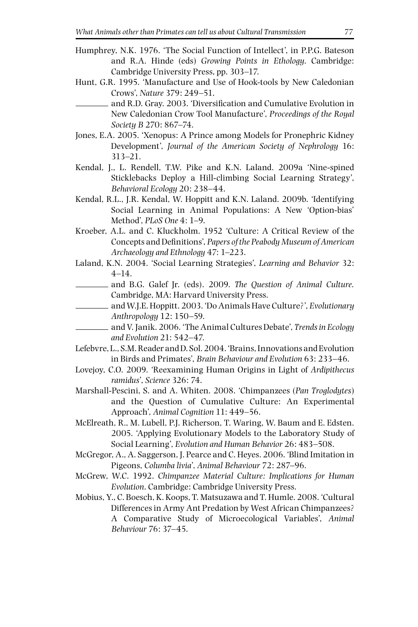- Humphrey, N.K. 1976. 'The Social Function of Intellect', in P.P.G. Bateson and R.A. Hinde (eds) *Growing Points in Ethology*. Cambridge: Cambridge University Press, pp. 303–17.
- Hunt, G.R. 1995. 'Manufacture and Use of Hook-tools by New Caledonian Crows', *Nature* 379: 249–51.
	- and R.D. Gray. 2003. 'Diversification and Cumulative Evolution in New Caledonian Crow Tool Manufacture', *Proceedings of the Royal Society B* 270: 867–74.
- Jones, E.A. 2005. 'Xenopus: A Prince among Models for Pronephric Kidney Development', *Journal of the American Society of Nephrology* 16: 313–21.
- Kendal, J., L. Rendell, T.W. Pike and K.N. Laland. 2009a 'Nine-spined Sticklebacks Deploy a Hill-climbing Social Learning Strategy', *Behavioral Ecology* 20: 238–44.
- Kendal, R.L., J.R. Kendal, W. Hoppitt and K.N. Laland. 2009b. 'Identifying Social Learning in Animal Populations: A New 'Option-bias' Method', *PLoS One* 4: 1–9.
- Kroeber, A.L. and C. Kluckholm. 1952 'Culture: A Critical Review of the Concepts and Definitions', *Papers of the Peabody Museum of American Archaeology and Ethnology* 47: 1–223.
- Laland, K.N. 2004. 'Social Learning Strategies', *Learning and Behavior* 32: 4–14.
- and B.G. Galef Jr. (eds). 2009. *The Question of Animal Culture.*  Cambridge, MA: Harvard University Press.
- and W.J.E. Hoppitt. 2003. 'Do Animals Have Culture?', *Evolutionary Anthropology* 12: 150–59.
- and V. Janik. 2006. 'The Animal Cultures Debate', *Trends in Ecology and Evolution* 21: 542–47.
- Lefebvre, L., S.M. Reader and D. Sol.2004. 'Brains, Innovations and Evolution in Birds and Primates', *Brain Behaviour and Evolution* 63: 233–46.
- Lovejoy, C.O. 2009. 'Reexamining Human Origins in Light of *Ardipithecus ramidus*', *Science* 326: 74.
- Marshall-Pescini, S. and A. Whiten. 2008. 'Chimpanzees (*Pan Troglodytes*) and the Question of Cumulative Culture: An Experimental Approach', *Animal Cognition* 11: 449–56.
- McElreath, R., M. Lubell, P.J. Richerson, T. Waring, W. Baum and E. Edsten. 2005. 'Applying Evolutionary Models to the Laboratory Study of Social Learning', *Evolution and Human Behavior* 26: 483–508.
- McGregor, A., A. Saggerson, J. Pearce and C. Heyes. 2006. 'Blind Imitation in Pigeons, *Columba livia*', *Animal Behaviour* 72: 287–96.
- McGrew, W.C. 1992. *Chimpanzee Material Culture: Implications for Human Evolution*. Cambridge: Cambridge University Press.
- Mobius, Y., C. Boesch, K. Koops, T. Matsuzawa and T. Humle. 2008. 'Cultural Differences in Army Ant Predation by West African Chimpanzees? A Comparative Study of Microecological Variables', *Animal Behaviour* 76: 37–45.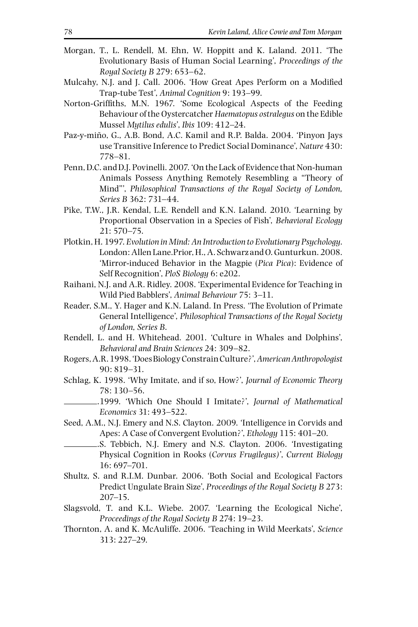- Morgan, T., L. Rendell, M. Ehn, W. Hoppitt and K. Laland. 2011. 'The Evolutionary Basis of Human Social Learning', *Proceedings of the Royal Society B* 279: 653–62.
- Mulcahy, N.J. and J. Call. 2006. 'How Great Apes Perform on a Modified Trap-tube Test', *Animal Cognition* 9: 193–99.
- Norton-Griffiths, M.N. 1967. 'Some Ecological Aspects of the Feeding Behaviour of the Oystercatcher *Haematopus ostralegus* on the Edible Mussel *Mytilus edulis*', *Ibis* 109: 412–24.
- Paz-y-miño, G., A.B. Bond, A.C. Kamil and R.P. Balda. 2004. 'Pinyon Jays use Transitive Inference to Predict Social Dominance', *Nature* 430: 778–81.
- Penn, D.C. and D.J. Povinelli. 2007. 'On the Lack of Evidence that Non-human Animals Possess Anything Remotely Resembling a "Theory of Mind"', *Philosophical Transactions of the Royal Society of London, Series B* 362: 731–44.
- Pike, T.W., J.R. Kendal, L.E. Rendell and K.N. Laland. 2010. 'Learning by Proportional Observation in a Species of Fish', *Behavioral Ecology* 21: 570–75.
- Plotkin, H. 1997. *Evolution in Mind: An Introduction to Evolutionary Psychology*. London: Allen Lane.Prior, H., A. Schwarz and O. Gunturkun. 2008. 'Mirror-induced Behavior in the Magpie (*Pica Pica*): Evidence of Self Recognition', *PloS Biology* 6: e202.
- Raihani, N.J. and A.R. Ridley. 2008. 'Experimental Evidence for Teaching in Wild Pied Babblers', *Animal Behaviour* 75: 3–11.
- Reader, S.M., Y. Hager and K.N. Laland. In Press. 'The Evolution of Primate General Intelligence', *Philosophical Transactions of the Royal Society of London, Series B*.
- Rendell, L. and H. Whitehead. 2001. 'Culture in Whales and Dolphins', *Behavioral and Brain Sciences* 24: 309–82.
- Rogers, A.R. 1998. 'Does Biology Constrain Culture?', *American Anthropologist* 90: 819–31.
- Schlag, K. 1998. 'Why Imitate, and if so, How?', *Journal of Economic Theory* 78: 130–56.
- .1999. 'Which One Should I Imitate?', *Journal of Mathematical Economics* 31: 493–522.
- Seed, A.M., N.J. Emery and N.S. Clayton. 2009. 'Intelligence in Corvids and Apes: A Case of Convergent Evolution?', *Ethology* 115: 401–20.
- . S. Tebbich, N.J. Emery and N.S. Clayton. 2006. 'Investigating Physical Cognition in Rooks (*Corvus Frugilegus)*', *Current Biology* 16: 697–701.
- Shultz, S. and R.I.M. Dunbar. 2006. 'Both Social and Ecological Factors Predict Ungulate Brain Size', *Proceedings of the Royal Society B* 273: 207–15.
- Slagsvold, T. and K.L. Wiebe. 2007. 'Learning the Ecological Niche', *Proceedings of the Royal Society B* 274: 19–23.
- Thornton, A. and K. McAuliffe. 2006. 'Teaching in Wild Meerkats', *Science* 313: 227–29.